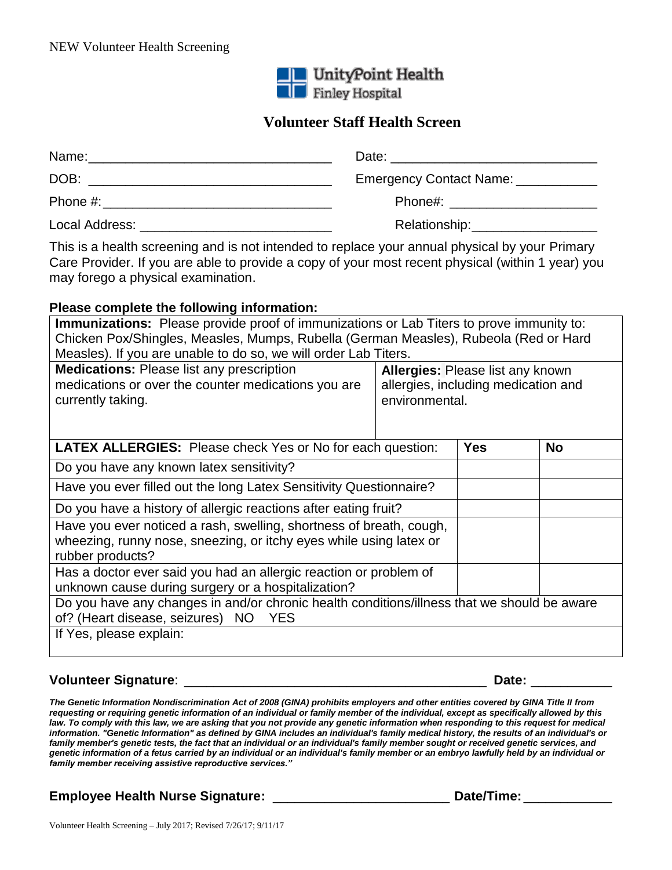

# **Volunteer Staff Health Screen**

| Name:          | Date: ___________________________________                                                                      |
|----------------|----------------------------------------------------------------------------------------------------------------|
| DOB:           | Emergency Contact Name: __________                                                                             |
| Phone #:       | Phone#: will be a series of the series of the series of the series of the series of the series of the series o |
| Local Address: | Relationship:                                                                                                  |

This is a health screening and is not intended to replace your annual physical by your Primary Care Provider. If you are able to provide a copy of your most recent physical (within 1 year) you may forego a physical examination.

#### **Please complete the following information:**

| <b>Immunizations:</b> Please provide proof of immunizations or Lab Titers to prove immunity to:<br>Chicken Pox/Shingles, Measles, Mumps, Rubella (German Measles), Rubeola (Red or Hard<br>Measles). If you are unable to do so, we will order Lab Titers. |                                                                                                  |           |  |  |  |  |
|------------------------------------------------------------------------------------------------------------------------------------------------------------------------------------------------------------------------------------------------------------|--------------------------------------------------------------------------------------------------|-----------|--|--|--|--|
| <b>Medications: Please list any prescription</b><br>medications or over the counter medications you are<br>currently taking.                                                                                                                               | <b>Allergies: Please list any known</b><br>allergies, including medication and<br>environmental. |           |  |  |  |  |
| <b>LATEX ALLERGIES:</b> Please check Yes or No for each question:                                                                                                                                                                                          | <b>Yes</b>                                                                                       | <b>No</b> |  |  |  |  |
| Do you have any known latex sensitivity?                                                                                                                                                                                                                   |                                                                                                  |           |  |  |  |  |
| Have you ever filled out the long Latex Sensitivity Questionnaire?                                                                                                                                                                                         |                                                                                                  |           |  |  |  |  |
| Do you have a history of allergic reactions after eating fruit?                                                                                                                                                                                            |                                                                                                  |           |  |  |  |  |
| Have you ever noticed a rash, swelling, shortness of breath, cough,<br>wheezing, runny nose, sneezing, or itchy eyes while using latex or<br>rubber products?                                                                                              |                                                                                                  |           |  |  |  |  |
| Has a doctor ever said you had an allergic reaction or problem of<br>unknown cause during surgery or a hospitalization?                                                                                                                                    |                                                                                                  |           |  |  |  |  |
| Do you have any changes in and/or chronic health conditions/illness that we should be aware<br>of? (Heart disease, seizures) NO<br><b>YES</b>                                                                                                              |                                                                                                  |           |  |  |  |  |
| If Yes, please explain:                                                                                                                                                                                                                                    |                                                                                                  |           |  |  |  |  |

#### **Volunteer Signature**: \_\_\_\_\_\_\_\_\_\_\_\_\_\_\_\_\_\_\_\_\_\_\_\_\_\_\_\_\_\_\_\_\_\_\_\_\_\_\_\_\_ **Date:** \_\_\_\_\_\_\_\_\_\_\_

*The Genetic Information Nondiscrimination Act of 2008 (GINA) prohibits employers and other entities covered by GINA Title II from requesting or requiring genetic information of an individual or family member of the individual, except as specifically allowed by this*  law. To comply with this law, we are asking that you not provide any genetic information when responding to this request for medical *information. "Genetic Information" as defined by GINA includes an individual's family medical history, the results of an individual's or family member's genetic tests, the fact that an individual or an individual's family member sought or received genetic services, and genetic information of a fetus carried by an individual or an individual's family member or an embryo lawfully held by an individual or family member receiving assistive reproductive services."*

## **Employee Health Nurse Signature:** \_\_\_\_\_\_\_\_\_\_\_\_\_\_\_\_\_\_\_\_\_\_\_\_ **Date/Time:** \_\_\_\_\_\_\_\_\_\_\_\_